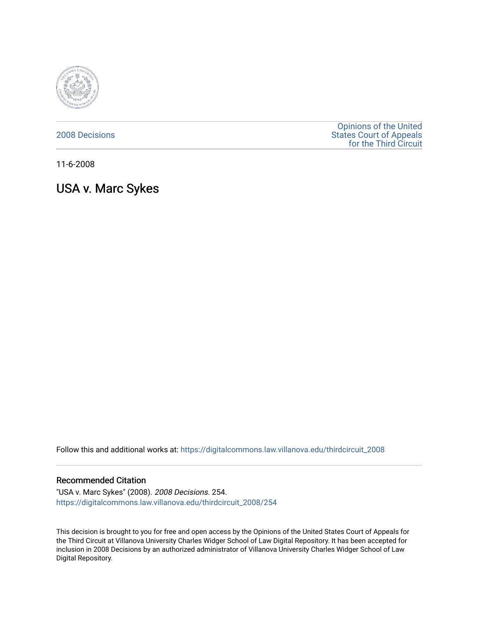

[2008 Decisions](https://digitalcommons.law.villanova.edu/thirdcircuit_2008)

[Opinions of the United](https://digitalcommons.law.villanova.edu/thirdcircuit)  [States Court of Appeals](https://digitalcommons.law.villanova.edu/thirdcircuit)  [for the Third Circuit](https://digitalcommons.law.villanova.edu/thirdcircuit) 

11-6-2008

# USA v. Marc Sykes

Follow this and additional works at: [https://digitalcommons.law.villanova.edu/thirdcircuit\\_2008](https://digitalcommons.law.villanova.edu/thirdcircuit_2008?utm_source=digitalcommons.law.villanova.edu%2Fthirdcircuit_2008%2F254&utm_medium=PDF&utm_campaign=PDFCoverPages) 

#### Recommended Citation

"USA v. Marc Sykes" (2008). 2008 Decisions. 254. [https://digitalcommons.law.villanova.edu/thirdcircuit\\_2008/254](https://digitalcommons.law.villanova.edu/thirdcircuit_2008/254?utm_source=digitalcommons.law.villanova.edu%2Fthirdcircuit_2008%2F254&utm_medium=PDF&utm_campaign=PDFCoverPages)

This decision is brought to you for free and open access by the Opinions of the United States Court of Appeals for the Third Circuit at Villanova University Charles Widger School of Law Digital Repository. It has been accepted for inclusion in 2008 Decisions by an authorized administrator of Villanova University Charles Widger School of Law Digital Repository.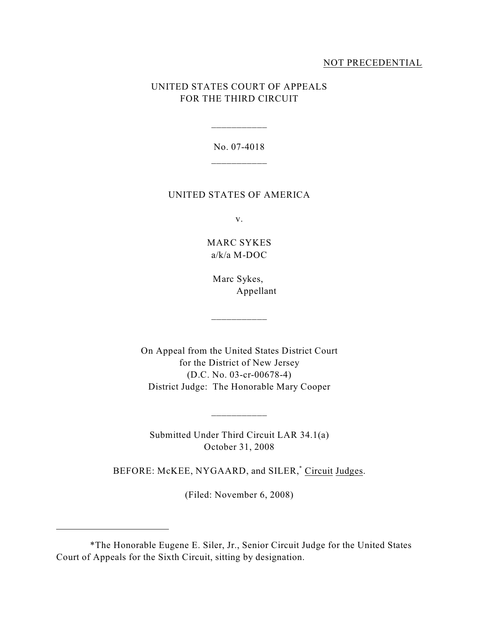## NOT PRECEDENTIAL

## UNITED STATES COURT OF APPEALS FOR THE THIRD CIRCUIT

No. 07-4018 \_\_\_\_\_\_\_\_\_\_\_

\_\_\_\_\_\_\_\_\_\_\_

### UNITED STATES OF AMERICA

v.

## MARC SYKES a/k/a M-DOC

Marc Sykes, Appellant

\_\_\_\_\_\_\_\_\_\_\_

On Appeal from the United States District Court for the District of New Jersey (D.C. No. 03-cr-00678-4) District Judge: The Honorable Mary Cooper

Submitted Under Third Circuit LAR 34.1(a) October 31, 2008

\_\_\_\_\_\_\_\_\_\_\_

BEFORE: McKEE, NYGAARD, and SILER,<sup>\*</sup> Circuit Judges.

(Filed: November 6, 2008)

<sup>\*</sup>The Honorable Eugene E. Siler, Jr., Senior Circuit Judge for the United States Court of Appeals for the Sixth Circuit, sitting by designation.